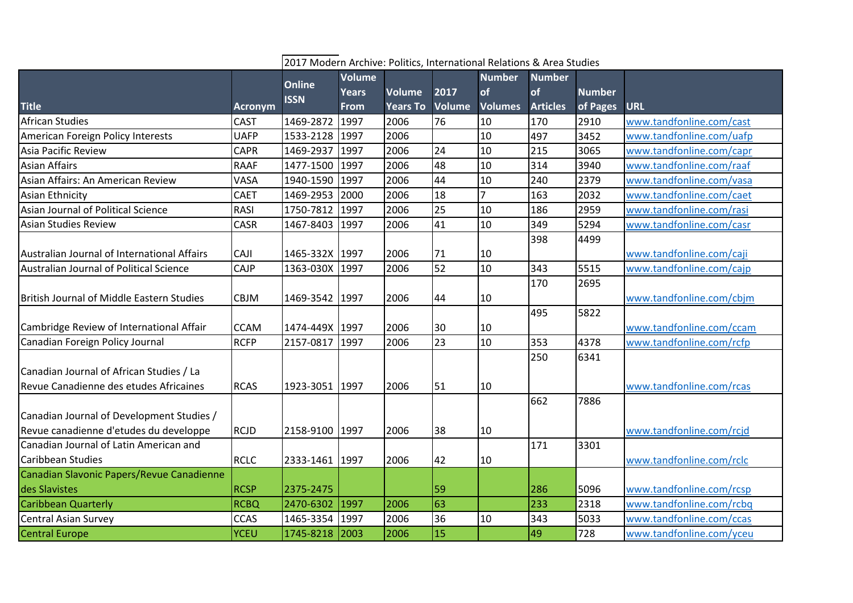|                                                  |                |                | 2017 Modern Archive: Politics, International Relations & Area Studies |                 |               |                |                 |               |                          |  |  |
|--------------------------------------------------|----------------|----------------|-----------------------------------------------------------------------|-----------------|---------------|----------------|-----------------|---------------|--------------------------|--|--|
|                                                  |                | <b>Online</b>  | <b>Volume</b>                                                         |                 |               | <b>Number</b>  | <b>Number</b>   |               |                          |  |  |
|                                                  |                | <b>ISSN</b>    | <b>Years</b>                                                          | Volume          | 2017          | of             | of              | <b>Number</b> |                          |  |  |
| <b>Title</b>                                     | <b>Acronym</b> |                | <b>From</b>                                                           | <b>Years To</b> | <b>Volume</b> | <b>Volumes</b> | <b>Articles</b> | of Pages      | <b>URL</b>               |  |  |
| <b>African Studies</b>                           | <b>CAST</b>    | 1469-2872      | 1997                                                                  | 2006            | 76            | 10             | 170             | 2910          | www.tandfonline.com/cast |  |  |
| American Foreign Policy Interests                | <b>UAFP</b>    | 1533-2128 1997 |                                                                       | 2006            |               | 10             | 497             | 3452          | www.tandfonline.com/uafp |  |  |
| Asia Pacific Review                              | <b>CAPR</b>    | 1469-2937 1997 |                                                                       | 2006            | 24            | 10             | 215             | 3065          | www.tandfonline.com/capr |  |  |
| <b>Asian Affairs</b>                             | <b>RAAF</b>    | 1477-1500 1997 |                                                                       | 2006            | 48            | 10             | 314             | 3940          | www.tandfonline.com/raaf |  |  |
| Asian Affairs: An American Review                | VASA           | 1940-1590 1997 |                                                                       | 2006            | 44            | 10             | 240             | 2379          | www.tandfonline.com/vasa |  |  |
| Asian Ethnicity                                  | <b>CAET</b>    | 1469-2953      | 2000                                                                  | 2006            | 18            | $\overline{7}$ | 163             | 2032          | www.tandfonline.com/caet |  |  |
| Asian Journal of Political Science               | <b>RASI</b>    | 1750-7812 1997 |                                                                       | 2006            | 25            | 10             | 186             | 2959          | www.tandfonline.com/rasi |  |  |
| <b>Asian Studies Review</b>                      | CASR           | 1467-8403 1997 |                                                                       | 2006            | 41            | 10             | 349             | 5294          | www.tandfonline.com/casr |  |  |
|                                                  |                |                |                                                                       |                 |               |                | 398             | 4499          |                          |  |  |
| Australian Journal of International Affairs      | <b>CAJI</b>    | 1465-332X 1997 |                                                                       | 2006            | 71            | 10             |                 |               | www.tandfonline.com/caji |  |  |
| Australian Journal of Political Science          | <b>CAJP</b>    | 1363-030X 1997 |                                                                       | 2006            | 52            | 10             | 343             | 5515          | www.tandfonline.com/cajp |  |  |
|                                                  |                |                |                                                                       |                 |               |                | 170             | 2695          |                          |  |  |
| <b>British Journal of Middle Eastern Studies</b> | <b>CBJM</b>    | 1469-3542 1997 |                                                                       | 2006            | 44            | 10             |                 |               | www.tandfonline.com/cbjm |  |  |
|                                                  |                |                |                                                                       |                 |               |                | 495             | 5822          |                          |  |  |
| Cambridge Review of International Affair         | <b>CCAM</b>    | 1474-449X 1997 |                                                                       | 2006            | 30            | 10             |                 |               | www.tandfonline.com/ccam |  |  |
| Canadian Foreign Policy Journal                  | <b>RCFP</b>    | 2157-0817 1997 |                                                                       | 2006            | 23            | 10             | 353             | 4378          | www.tandfonline.com/rcfp |  |  |
|                                                  |                |                |                                                                       |                 |               |                | 250             | 6341          |                          |  |  |
| Canadian Journal of African Studies / La         |                |                |                                                                       |                 |               |                |                 |               |                          |  |  |
| Revue Canadienne des etudes Africaines           | <b>RCAS</b>    | 1923-3051 1997 |                                                                       | 2006            | 51            | 10             |                 |               | www.tandfonline.com/rcas |  |  |
|                                                  |                |                |                                                                       |                 |               |                | 662             | 7886          |                          |  |  |
| Canadian Journal of Development Studies /        |                |                |                                                                       |                 |               |                |                 |               |                          |  |  |
| Revue canadienne d'etudes du developpe           | RCJD           | 2158-9100 1997 |                                                                       | 2006            | 38            | 10             |                 |               | www.tandfonline.com/rcjd |  |  |
| Canadian Journal of Latin American and           |                |                |                                                                       |                 |               |                | 171             | 3301          |                          |  |  |
| <b>Caribbean Studies</b>                         | <b>RCLC</b>    | 2333-1461 1997 |                                                                       | 2006            | 42            | 10             |                 |               | www.tandfonline.com/rclc |  |  |
| Canadian Slavonic Papers/Revue Canadienne        |                |                |                                                                       |                 |               |                |                 |               |                          |  |  |
| des Slavistes                                    | <b>RCSP</b>    | 2375-2475      |                                                                       |                 | 59            |                | 286             | 5096          | www.tandfonline.com/rcsp |  |  |
| <b>Caribbean Quarterly</b>                       | <b>RCBQ</b>    | 2470-6302 1997 |                                                                       | 2006            | 63            |                | 233             | 2318          | www.tandfonline.com/rcbq |  |  |
| <b>Central Asian Survey</b>                      | <b>CCAS</b>    | 1465-3354 1997 |                                                                       | 2006            | 36            | 10             | 343             | 5033          | www.tandfonline.com/ccas |  |  |
| <b>Central Europe</b>                            | YCEU           | 1745-8218 2003 |                                                                       | 2006            | 15            |                | 49              | 728           | www.tandfonline.com/yceu |  |  |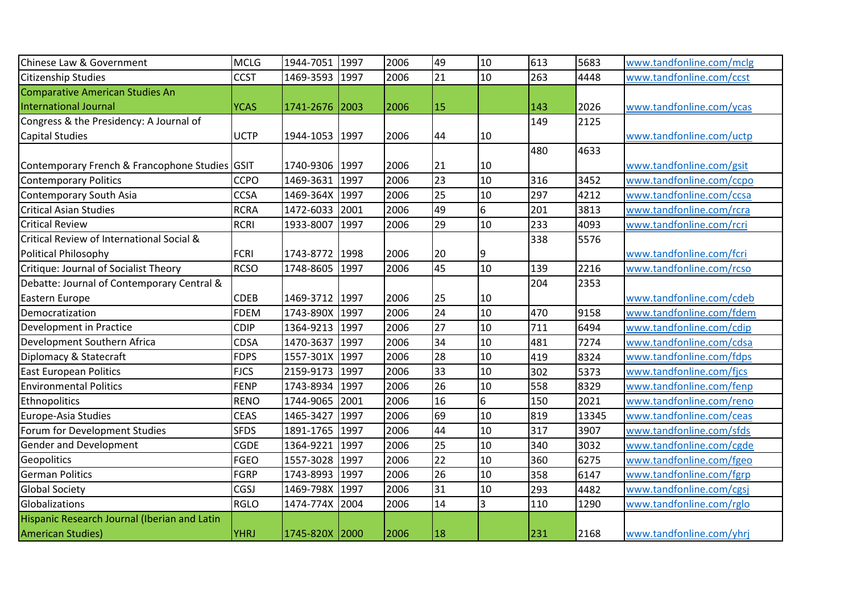| Chinese Law & Government                       | <b>MCLG</b> | 1944-7051      | 1997 | 2006 | 49              | 10 | 613 | 5683  | www.tandfonline.com/mclg |
|------------------------------------------------|-------------|----------------|------|------|-----------------|----|-----|-------|--------------------------|
| Citizenship Studies                            | <b>CCST</b> | 1469-3593      | 1997 | 2006 | $\overline{21}$ | 10 | 263 | 4448  | www.tandfonline.com/ccst |
| Comparative American Studies An                |             |                |      |      |                 |    |     |       |                          |
| International Journal                          | <b>YCAS</b> | 1741-2676      | 2003 | 2006 | 15              |    | 143 | 2026  | www.tandfonline.com/ycas |
| Congress & the Presidency: A Journal of        |             |                |      |      |                 |    | 149 | 2125  |                          |
| <b>Capital Studies</b>                         | <b>UCTP</b> | 1944-1053 1997 |      | 2006 | 44              | 10 |     |       | www.tandfonline.com/uctp |
|                                                |             |                |      |      |                 |    | 480 | 4633  |                          |
| Contemporary French & Francophone Studies GSIT |             | 1740-9306 1997 |      | 2006 | 21              | 10 |     |       | www.tandfonline.com/gsit |
| <b>Contemporary Politics</b>                   | <b>CCPO</b> | 1469-3631      | 1997 | 2006 | 23              | 10 | 316 | 3452  | www.tandfonline.com/ccpo |
| <b>Contemporary South Asia</b>                 | <b>CCSA</b> | 1469-364X      | 1997 | 2006 | 25              | 10 | 297 | 4212  | www.tandfonline.com/ccsa |
| <b>Critical Asian Studies</b>                  | <b>RCRA</b> | 1472-6033      | 2001 | 2006 | 49              | 6  | 201 | 3813  | www.tandfonline.com/rcra |
| <b>Critical Review</b>                         | <b>RCRI</b> | 1933-8007      | 1997 | 2006 | 29              | 10 | 233 | 4093  | www.tandfonline.com/rcri |
| Critical Review of International Social &      |             |                |      |      |                 |    | 338 | 5576  |                          |
| <b>Political Philosophy</b>                    | <b>FCRI</b> | 1743-8772 1998 |      | 2006 | 20              | 9  |     |       | www.tandfonline.com/fcri |
| Critique: Journal of Socialist Theory          | <b>RCSO</b> | 1748-8605      | 1997 | 2006 | 45              | 10 | 139 | 2216  | www.tandfonline.com/rcso |
| Debatte: Journal of Contemporary Central &     |             |                |      |      |                 |    | 204 | 2353  |                          |
| Eastern Europe                                 | <b>CDEB</b> | 1469-3712 1997 |      | 2006 | 25              | 10 |     |       | www.tandfonline.com/cdeb |
| Democratization                                | <b>FDEM</b> | 1743-890X      | 1997 | 2006 | 24              | 10 | 470 | 9158  | www.tandfonline.com/fdem |
| Development in Practice                        | <b>CDIP</b> | 1364-9213      | 1997 | 2006 | 27              | 10 | 711 | 6494  | www.tandfonline.com/cdip |
| Development Southern Africa                    | <b>CDSA</b> | 1470-3637      | 1997 | 2006 | 34              | 10 | 481 | 7274  | www.tandfonline.com/cdsa |
| Diplomacy & Statecraft                         | <b>FDPS</b> | 1557-301X      | 1997 | 2006 | 28              | 10 | 419 | 8324  | www.tandfonline.com/fdps |
| <b>East European Politics</b>                  | <b>FJCS</b> | 2159-9173      | 1997 | 2006 | 33              | 10 | 302 | 5373  | www.tandfonline.com/fjcs |
| <b>Environmental Politics</b>                  | <b>FENP</b> | 1743-8934      | 1997 | 2006 | 26              | 10 | 558 | 8329  | www.tandfonline.com/fenp |
| Ethnopolitics                                  | <b>RENO</b> | 1744-9065      | 2001 | 2006 | 16              | l6 | 150 | 2021  | www.tandfonline.com/reno |
| Europe-Asia Studies                            | <b>CEAS</b> | 1465-3427      | 1997 | 2006 | 69              | 10 | 819 | 13345 | www.tandfonline.com/ceas |
| Forum for Development Studies                  | <b>SFDS</b> | 1891-1765      | 1997 | 2006 | 44              | 10 | 317 | 3907  | www.tandfonline.com/sfds |
| Gender and Development                         | <b>CGDE</b> | 1364-9221      | 1997 | 2006 | 25              | 10 | 340 | 3032  | www.tandfonline.com/cgde |
| Geopolitics                                    | <b>FGEO</b> | 1557-3028      | 1997 | 2006 | $\overline{22}$ | 10 | 360 | 6275  | www.tandfonline.com/fgeo |
| <b>German Politics</b>                         | <b>FGRP</b> | 1743-8993      | 1997 | 2006 | 26              | 10 | 358 | 6147  | www.tandfonline.com/fgrp |
| <b>Global Society</b>                          | CGSJ        | 1469-798X      | 1997 | 2006 | 31              | 10 | 293 | 4482  | www.tandfonline.com/cgsj |
| Globalizations                                 | <b>RGLO</b> | 1474-774X      | 2004 | 2006 | 14              | l3 | 110 | 1290  | www.tandfonline.com/rglo |
| Hispanic Research Journal (Iberian and Latin   |             |                |      |      |                 |    |     |       |                          |
| <b>American Studies)</b>                       | <b>YHRJ</b> | 1745-820X 2000 |      | 2006 | 18              |    | 231 | 2168  | www.tandfonline.com/yhrj |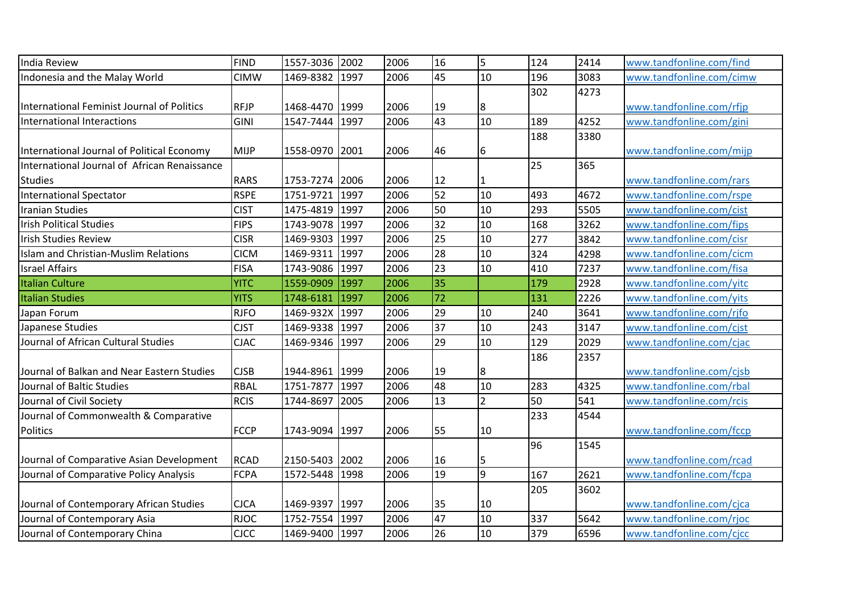| India Review                                 | <b>FIND</b> | 1557-3036      | 2002 | 2006 | 16 | 5              | 124 | 2414 | www.tandfonline.com/find |
|----------------------------------------------|-------------|----------------|------|------|----|----------------|-----|------|--------------------------|
| Indonesia and the Malay World                | <b>CIMW</b> | 1469-8382      | 1997 | 2006 | 45 | 10             | 196 | 3083 | www.tandfonline.com/cimw |
|                                              |             |                |      |      |    |                | 302 | 4273 |                          |
| International Feminist Journal of Politics   | <b>RFJP</b> | 1468-4470 1999 |      | 2006 | 19 | 8              |     |      | www.tandfonline.com/rfjp |
| International Interactions                   | <b>GINI</b> | 1547-7444      | 1997 | 2006 | 43 | 10             | 189 | 4252 | www.tandfonline.com/gini |
|                                              |             |                |      |      |    |                | 188 | 3380 |                          |
| International Journal of Political Economy   | <b>MIJP</b> | 1558-0970 2001 |      | 2006 | 46 | 6              |     |      | www.tandfonline.com/mijp |
| International Journal of African Renaissance |             |                |      |      |    |                | 25  | 365  |                          |
| <b>Studies</b>                               | <b>RARS</b> | 1753-7274 2006 |      | 2006 | 12 |                |     |      | www.tandfonline.com/rars |
| International Spectator                      | <b>RSPE</b> | 1751-9721      | 1997 | 2006 | 52 | 10             | 493 | 4672 | www.tandfonline.com/rspe |
| <b>Iranian Studies</b>                       | <b>CIST</b> | 1475-4819      | 1997 | 2006 | 50 | 10             | 293 | 5505 | www.tandfonline.com/cist |
| <b>Irish Political Studies</b>               | <b>FIPS</b> | 1743-9078      | 1997 | 2006 | 32 | 10             | 168 | 3262 | www.tandfonline.com/fips |
| <b>Irish Studies Review</b>                  | <b>CISR</b> | 1469-9303      | 1997 | 2006 | 25 | 10             | 277 | 3842 | www.tandfonline.com/cisr |
| Islam and Christian-Muslim Relations         | <b>CICM</b> | 1469-9311      | 1997 | 2006 | 28 | 10             | 324 | 4298 | www.tandfonline.com/cicm |
| <b>Israel Affairs</b>                        | <b>FISA</b> | 1743-9086      | 1997 | 2006 | 23 | 10             | 410 | 7237 | www.tandfonline.com/fisa |
| <b>Italian Culture</b>                       | <b>YITC</b> | 1559-0909      | 1997 | 2006 | 35 |                | 179 | 2928 | www.tandfonline.com/yitc |
| <b>Italian Studies</b>                       | <b>YITS</b> | 1748-6181      | 1997 | 2006 | 72 |                | 131 | 2226 | www.tandfonline.com/vits |
| Japan Forum                                  | <b>RJFO</b> | 1469-932X      | 1997 | 2006 | 29 | 10             | 240 | 3641 | www.tandfonline.com/rjfo |
| Japanese Studies                             | <b>CJST</b> | 1469-9338      | 1997 | 2006 | 37 | 10             | 243 | 3147 | www.tandfonline.com/cjst |
| Journal of African Cultural Studies          | <b>CJAC</b> | 1469-9346      | 1997 | 2006 | 29 | 10             | 129 | 2029 | www.tandfonline.com/cjac |
|                                              |             |                |      |      |    |                | 186 | 2357 |                          |
| Journal of Balkan and Near Eastern Studies   | <b>CJSB</b> | 1944-8961      | 1999 | 2006 | 19 | 8              |     |      | www.tandfonline.com/cjsb |
| Journal of Baltic Studies                    | <b>RBAL</b> | 1751-7877      | 1997 | 2006 | 48 | 10             | 283 | 4325 | www.tandfonline.com/rbal |
| Journal of Civil Society                     | <b>RCIS</b> | 1744-8697      | 2005 | 2006 | 13 | $\overline{2}$ | 50  | 541  | www.tandfonline.com/rcis |
| Journal of Commonwealth & Comparative        |             |                |      |      |    |                | 233 | 4544 |                          |
| Politics                                     | <b>FCCP</b> | 1743-9094 1997 |      | 2006 | 55 | 10             |     |      | www.tandfonline.com/fccp |
|                                              |             |                |      |      |    |                | 96  | 1545 |                          |
| Journal of Comparative Asian Development     | <b>RCAD</b> | 2150-5403      | 2002 | 2006 | 16 | 5              |     |      | www.tandfonline.com/rcad |
| Journal of Comparative Policy Analysis       | <b>FCPA</b> | 1572-5448      | 1998 | 2006 | 19 | l9             | 167 | 2621 | www.tandfonline.com/fcpa |
|                                              |             |                |      |      |    |                | 205 | 3602 |                          |
| Journal of Contemporary African Studies      | <b>CJCA</b> | 1469-9397      | 1997 | 2006 | 35 | 10             |     |      | www.tandfonline.com/cjca |
| Journal of Contemporary Asia                 | <b>RJOC</b> | 1752-7554      | 1997 | 2006 | 47 | 10             | 337 | 5642 | www.tandfonline.com/rjoc |
| Journal of Contemporary China                | <b>CJCC</b> | 1469-9400 1997 |      | 2006 | 26 | 10             | 379 | 6596 | www.tandfonline.com/cjcc |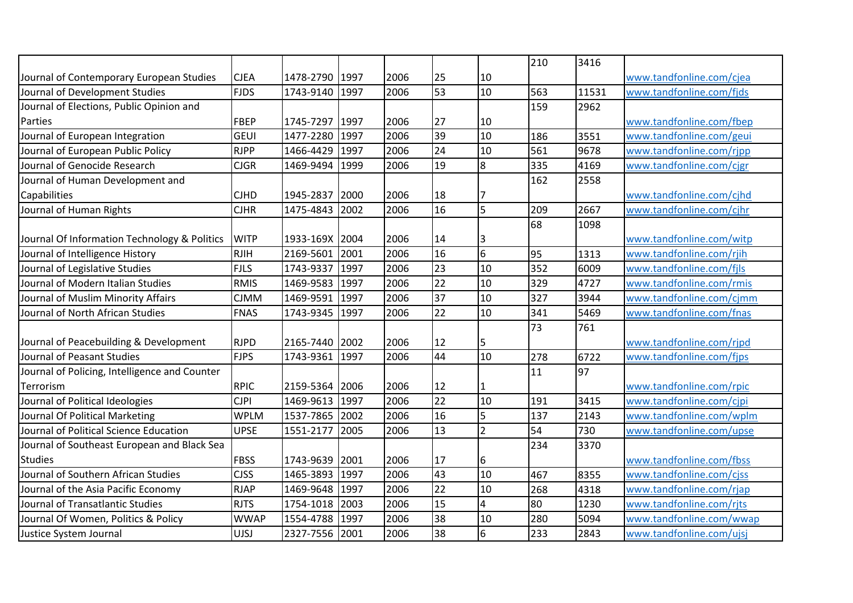|                                               |             |                |      |      |                 |                         | 210 | 3416  |                          |
|-----------------------------------------------|-------------|----------------|------|------|-----------------|-------------------------|-----|-------|--------------------------|
| Journal of Contemporary European Studies      | <b>CJEA</b> | 1478-2790 1997 |      | 2006 | 25              | 10                      |     |       | www.tandfonline.com/cjea |
| Journal of Development Studies                | <b>FJDS</b> | 1743-9140 1997 |      | 2006 | 53              | 10                      | 563 | 11531 | www.tandfonline.com/fids |
| Journal of Elections, Public Opinion and      |             |                |      |      |                 |                         | 159 | 2962  |                          |
| Parties                                       | <b>FBEP</b> | 1745-7297 1997 |      | 2006 | 27              | 10                      |     |       | www.tandfonline.com/fbep |
| Journal of European Integration               | <b>GEUI</b> | 1477-2280      | 1997 | 2006 | 39              | 10                      | 186 | 3551  | www.tandfonline.com/geui |
| Journal of European Public Policy             | <b>RJPP</b> | 1466-4429      | 1997 | 2006 | 24              | 10                      | 561 | 9678  | www.tandfonline.com/rjpp |
| Journal of Genocide Research                  | <b>CJGR</b> | 1469-9494 1999 |      | 2006 | 19              | 8                       | 335 | 4169  | www.tandfonline.com/cjgr |
| Journal of Human Development and              |             |                |      |      |                 |                         | 162 | 2558  |                          |
| Capabilities                                  | <b>CJHD</b> | 1945-2837      | 2000 | 2006 | 18              |                         |     |       | www.tandfonline.com/cjhd |
| Journal of Human Rights                       | <b>CJHR</b> | 1475-4843      | 2002 | 2006 | 16              | 5                       | 209 | 2667  | www.tandfonline.com/cjhr |
|                                               |             |                |      |      |                 |                         | 68  | 1098  |                          |
| Journal Of Information Technology & Politics  | <b>WITP</b> | 1933-169X 2004 |      | 2006 | 14              | 3                       |     |       | www.tandfonline.com/witp |
| Journal of Intelligence History               | <b>RJIH</b> | 2169-5601      | 2001 | 2006 | 16              | 6                       | 95  | 1313  | www.tandfonline.com/rjih |
| Journal of Legislative Studies                | <b>FJLS</b> | 1743-9337 1997 |      | 2006 | 23              | 10                      | 352 | 6009  | www.tandfonline.com/fjls |
| Journal of Modern Italian Studies             | <b>RMIS</b> | 1469-9583      | 1997 | 2006 | 22              | 10                      | 329 | 4727  | www.tandfonline.com/rmis |
| Journal of Muslim Minority Affairs            | <b>CJMM</b> | 1469-9591      | 1997 | 2006 | $\overline{37}$ | 10                      | 327 | 3944  | www.tandfonline.com/cjmm |
| Journal of North African Studies              | <b>FNAS</b> | 1743-9345      | 1997 | 2006 | 22              | 10                      | 341 | 5469  | www.tandfonline.com/fnas |
|                                               |             |                |      |      |                 |                         | 73  | 761   |                          |
| Journal of Peacebuilding & Development        | <b>RJPD</b> | 2165-7440 2002 |      | 2006 | 12              | 5                       |     |       | www.tandfonline.com/rjpd |
| Journal of Peasant Studies                    | <b>FJPS</b> | 1743-9361      | 1997 | 2006 | 44              | 10                      | 278 | 6722  | www.tandfonline.com/fjps |
| Journal of Policing, Intelligence and Counter |             |                |      |      |                 |                         | 11  | 97    |                          |
| Terrorism                                     | <b>RPIC</b> | 2159-5364 2006 |      | 2006 | 12              |                         |     |       | www.tandfonline.com/rpic |
| Journal of Political Ideologies               | <b>CJPI</b> | 1469-9613      | 1997 | 2006 | $\overline{22}$ | 10                      | 191 | 3415  | www.tandfonline.com/cjpi |
| Journal Of Political Marketing                | <b>WPLM</b> | 1537-7865 2002 |      | 2006 | 16              | 5                       | 137 | 2143  | www.tandfonline.com/wplm |
| Journal of Political Science Education        | <b>UPSE</b> | 1551-2177      | 2005 | 2006 | 13              | $\overline{2}$          | 54  | 730   | www.tandfonline.com/upse |
| Journal of Southeast European and Black Sea   |             |                |      |      |                 |                         | 234 | 3370  |                          |
| <b>Studies</b>                                | <b>FBSS</b> | 1743-9639 2001 |      | 2006 | 17              | 6                       |     |       | www.tandfonline.com/fbss |
| Journal of Southern African Studies           | <b>CJSS</b> | 1465-3893      | 1997 | 2006 | 43              | 10                      | 467 | 8355  | www.tandfonline.com/cjss |
| Journal of the Asia Pacific Economy           | <b>RJAP</b> | 1469-9648 1997 |      | 2006 | 22              | 10                      | 268 | 4318  | www.tandfonline.com/rjap |
| Journal of Transatlantic Studies              | <b>RJTS</b> | 1754-1018 2003 |      | 2006 | 15              | $\overline{\mathbf{4}}$ | 80  | 1230  | www.tandfonline.com/rjts |
| Journal Of Women, Politics & Policy           | <b>WWAP</b> | 1554-4788 1997 |      | 2006 | 38              | 10                      | 280 | 5094  | www.tandfonline.com/wwap |
| Justice System Journal                        | <b>UJSJ</b> | 2327-7556 2001 |      | 2006 | 38              | $6\phantom{.}6$         | 233 | 2843  | www.tandfonline.com/ujsj |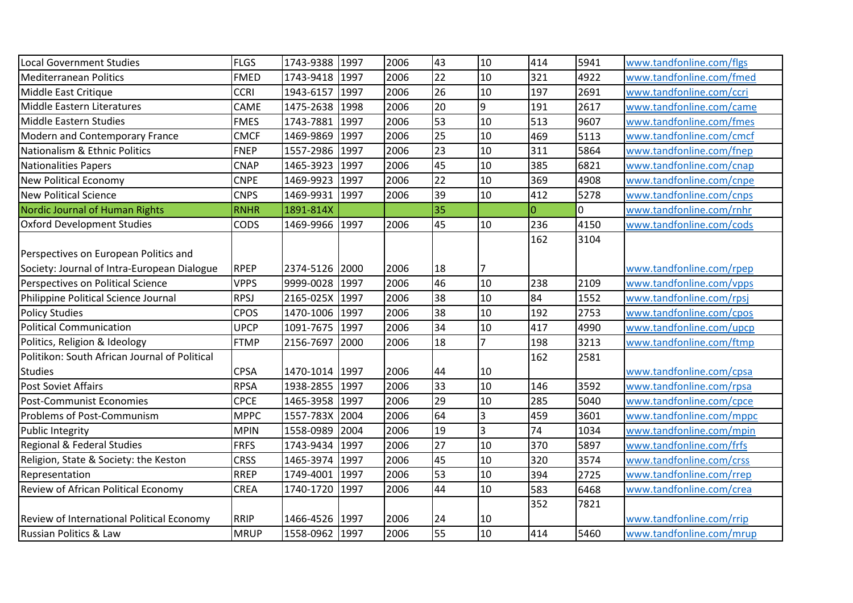| <b>Local Government Studies</b>                  | <b>FLGS</b> | 1743-9388      | 1997 | 2006 | 43              | 10                      | 414            | 5941 | www.tandfonline.com/flgs |
|--------------------------------------------------|-------------|----------------|------|------|-----------------|-------------------------|----------------|------|--------------------------|
| <b>Mediterranean Politics</b>                    | <b>FMED</b> | 1743-9418      | 1997 | 2006 | 22              | 10                      | 321            | 4922 | www.tandfonline.com/fmed |
| Middle East Critique                             | <b>CCRI</b> | 1943-6157 1997 |      | 2006 | 26              | 10                      | 197            | 2691 | www.tandfonline.com/ccri |
| Middle Eastern Literatures                       | CAME        | 1475-2638      | 1998 | 2006 | 20              | 9                       | 191            | 2617 | www.tandfonline.com/came |
| <b>Middle Eastern Studies</b>                    | <b>FMES</b> | 1743-7881      | 1997 | 2006 | 53              | 10                      | 513            | 9607 | www.tandfonline.com/fmes |
| Modern and Contemporary France                   | <b>CMCF</b> | 1469-9869      | 1997 | 2006 | $\overline{25}$ | 10                      | 469            | 5113 | www.tandfonline.com/cmcf |
| Nationalism & Ethnic Politics                    | <b>FNEP</b> | 1557-2986      | 1997 | 2006 | 23              | 10                      | 311            | 5864 | www.tandfonline.com/fnep |
| <b>Nationalities Papers</b>                      | <b>CNAP</b> | 1465-3923      | 1997 | 2006 | $\overline{45}$ | 10                      | 385            | 6821 | www.tandfonline.com/cnap |
| <b>New Political Economy</b>                     | <b>CNPE</b> | 1469-9923      | 1997 | 2006 | 22              | 10                      | 369            | 4908 | www.tandfonline.com/cnpe |
| <b>New Political Science</b>                     | <b>CNPS</b> | 1469-9931      | 1997 | 2006 | 39              | 10                      | 412            | 5278 | www.tandfonline.com/cnps |
| Nordic Journal of Human Rights                   | <b>RNHR</b> | 1891-814X      |      |      | 35              |                         | $\overline{0}$ | 0    | www.tandfonline.com/rnhr |
| <b>Oxford Development Studies</b>                | CODS        | 1469-9966      | 1997 | 2006 | 45              | 10                      | 236            | 4150 | www.tandfonline.com/cods |
|                                                  |             |                |      |      |                 |                         | 162            | 3104 |                          |
| Perspectives on European Politics and            |             |                |      |      |                 |                         |                |      |                          |
| Society: Journal of Intra-European Dialogue      | <b>RPEP</b> | 2374-5126 2000 |      | 2006 | 18              | 7                       |                |      | www.tandfonline.com/rpep |
| Perspectives on Political Science                | <b>VPPS</b> | 9999-0028 1997 |      | 2006 | 46              | 10                      | 238            | 2109 | www.tandfonline.com/vpps |
| Philippine Political Science Journal             | <b>RPSJ</b> | 2165-025X 1997 |      | 2006 | 38              | 10                      | 84             | 1552 | www.tandfonline.com/rpsj |
| <b>Policy Studies</b>                            | <b>CPOS</b> | 1470-1006      | 1997 | 2006 | 38              | 10                      | 192            | 2753 | www.tandfonline.com/cpos |
| <b>Political Communication</b>                   | <b>UPCP</b> | 1091-7675      | 1997 | 2006 | 34              | 10                      | 417            | 4990 | www.tandfonline.com/upcp |
| Politics, Religion & Ideology                    | <b>FTMP</b> | 2156-7697      | 2000 | 2006 | 18              | $\overline{7}$          | 198            | 3213 | www.tandfonline.com/ftmp |
| Politikon: South African Journal of Political    |             |                |      |      |                 |                         | 162            | 2581 |                          |
| <b>Studies</b>                                   | <b>CPSA</b> | 1470-1014 1997 |      | 2006 | 44              | 10                      |                |      | www.tandfonline.com/cpsa |
| <b>Post Soviet Affairs</b>                       | <b>RPSA</b> | 1938-2855 1997 |      | 2006 | 33              | 10                      | 146            | 3592 | www.tandfonline.com/rpsa |
| <b>Post-Communist Economies</b>                  | <b>CPCE</b> | 1465-3958      | 1997 | 2006 | 29              | 10                      | 285            | 5040 | www.tandfonline.com/cpce |
| Problems of Post-Communism                       | <b>MPPC</b> | 1557-783X      | 2004 | 2006 | 64              | $\overline{\mathbf{3}}$ | 459            | 3601 | www.tandfonline.com/mppc |
| <b>Public Integrity</b>                          | <b>MPIN</b> | 1558-0989      | 2004 | 2006 | 19              | $\overline{3}$          | 74             | 1034 | www.tandfonline.com/mpin |
| Regional & Federal Studies                       | <b>FRFS</b> | 1743-9434 1997 |      | 2006 | $\overline{27}$ | 10                      | 370            | 5897 | www.tandfonline.com/frfs |
| Religion, State & Society: the Keston            | <b>CRSS</b> | 1465-3974      | 1997 | 2006 | 45              | 10                      | 320            | 3574 | www.tandfonline.com/crss |
| Representation                                   | <b>RREP</b> | 1749-4001      | 1997 | 2006 | 53              | 10                      | 394            | 2725 | www.tandfonline.com/rrep |
| <b>Review of African Political Economy</b>       | <b>CREA</b> | 1740-1720      | 1997 | 2006 | 44              | 10                      | 583            | 6468 | www.tandfonline.com/crea |
|                                                  |             |                |      |      |                 |                         | 352            | 7821 |                          |
| <b>Review of International Political Economy</b> | <b>RRIP</b> | 1466-4526 1997 |      | 2006 | 24              | 10                      |                |      | www.tandfonline.com/rrip |
| <b>Russian Politics &amp; Law</b>                | <b>MRUP</b> | 1558-0962 1997 |      | 2006 | 55              | 10                      | 414            | 5460 | www.tandfonline.com/mrup |